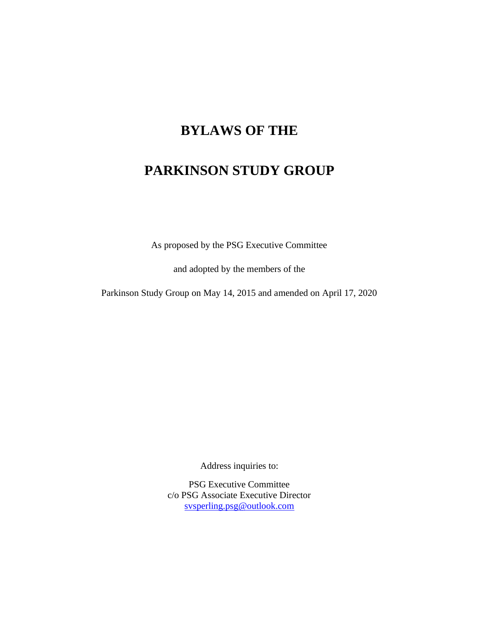# **BYLAWS OF THE**

# **PARKINSON STUDY GROUP**

As proposed by the PSG Executive Committee

and adopted by the members of the

Parkinson Study Group on May 14, 2015 and amended on April 17, 2020

Address inquiries to:

PSG Executive Committee c/o PSG Associate Executive Director [svsperling.psg@outlook.com](mailto:svsperling.psg@outlook.com)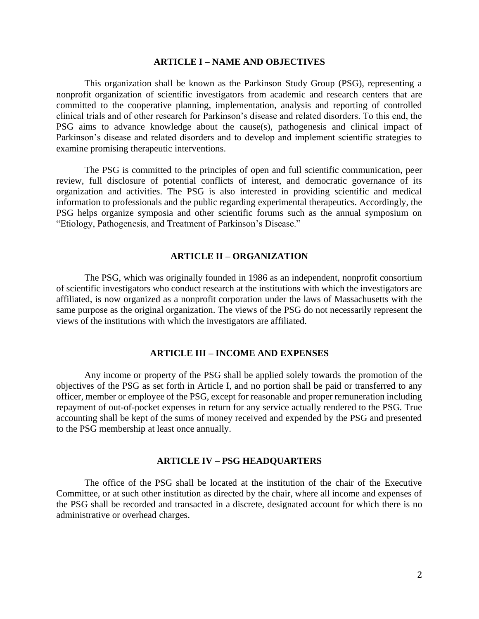# **ARTICLE I – NAME AND OBJECTIVES**

This organization shall be known as the Parkinson Study Group (PSG), representing a nonprofit organization of scientific investigators from academic and research centers that are committed to the cooperative planning, implementation, analysis and reporting of controlled clinical trials and of other research for Parkinson's disease and related disorders. To this end, the PSG aims to advance knowledge about the cause(s), pathogenesis and clinical impact of Parkinson's disease and related disorders and to develop and implement scientific strategies to examine promising therapeutic interventions.

The PSG is committed to the principles of open and full scientific communication, peer review, full disclosure of potential conflicts of interest, and democratic governance of its organization and activities. The PSG is also interested in providing scientific and medical information to professionals and the public regarding experimental therapeutics. Accordingly, the PSG helps organize symposia and other scientific forums such as the annual symposium on "Etiology, Pathogenesis, and Treatment of Parkinson's Disease."

#### **ARTICLE II – ORGANIZATION**

The PSG, which was originally founded in 1986 as an independent, nonprofit consortium of scientific investigators who conduct research at the institutions with which the investigators are affiliated, is now organized as a nonprofit corporation under the laws of Massachusetts with the same purpose as the original organization. The views of the PSG do not necessarily represent the views of the institutions with which the investigators are affiliated.

#### **ARTICLE III – INCOME AND EXPENSES**

Any income or property of the PSG shall be applied solely towards the promotion of the objectives of the PSG as set forth in Article I, and no portion shall be paid or transferred to any officer, member or employee of the PSG, except for reasonable and proper remuneration including repayment of out-of-pocket expenses in return for any service actually rendered to the PSG. True accounting shall be kept of the sums of money received and expended by the PSG and presented to the PSG membership at least once annually.

#### **ARTICLE IV – PSG HEADQUARTERS**

The office of the PSG shall be located at the institution of the chair of the Executive Committee, or at such other institution as directed by the chair, where all income and expenses of the PSG shall be recorded and transacted in a discrete, designated account for which there is no administrative or overhead charges.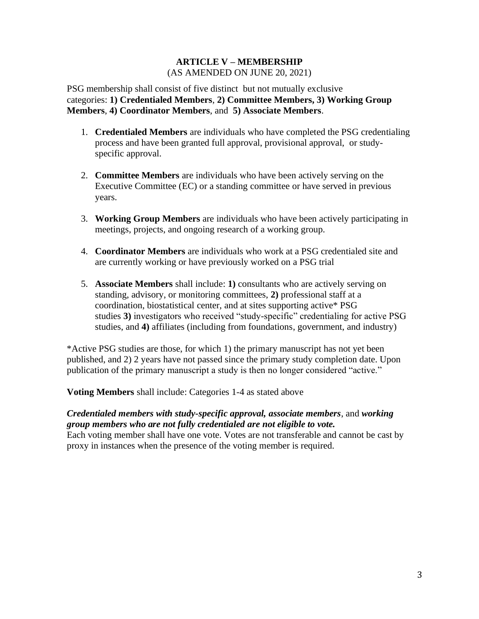# **ARTICLE V – MEMBERSHIP** (AS AMENDED ON JUNE 20, 2021)

PSG membership shall consist of five distinct but not mutually exclusive categories: **1) Credentialed Members**, **2) Committee Members, 3) Working Group Members**, **4) Coordinator Members**, and **5) Associate Members**.

- 1. **Credentialed Members** are individuals who have completed the PSG credentialing process and have been granted full approval, provisional approval, or studyspecific approval.
- 2. **Committee Members** are individuals who have been actively serving on the Executive Committee (EC) or a standing committee or have served in previous years.
- 3. **Working Group Members** are individuals who have been actively participating in meetings, projects, and ongoing research of a working group.
- 4. **Coordinator Members** are individuals who work at a PSG credentialed site and are currently working or have previously worked on a PSG trial
- 5. **Associate Members** shall include: **1)** consultants who are actively serving on standing, advisory, or monitoring committees, **2)** professional staff at a coordination, biostatistical center, and at sites supporting active\* PSG studies **3)** investigators who received "study-specific" credentialing for active PSG studies, and **4)** affiliates (including from foundations, government, and industry)

\*Active PSG studies are those, for which 1) the primary manuscript has not yet been published, and 2) 2 years have not passed since the primary study completion date. Upon publication of the primary manuscript a study is then no longer considered "active."

**Voting Members** shall include: Categories 1-4 as stated above

# *Credentialed members with study-specific approval, associate members*, and *working group members who are not fully credentialed are not eligible to vote.*

Each voting member shall have one vote. Votes are not transferable and cannot be cast by proxy in instances when the presence of the voting member is required.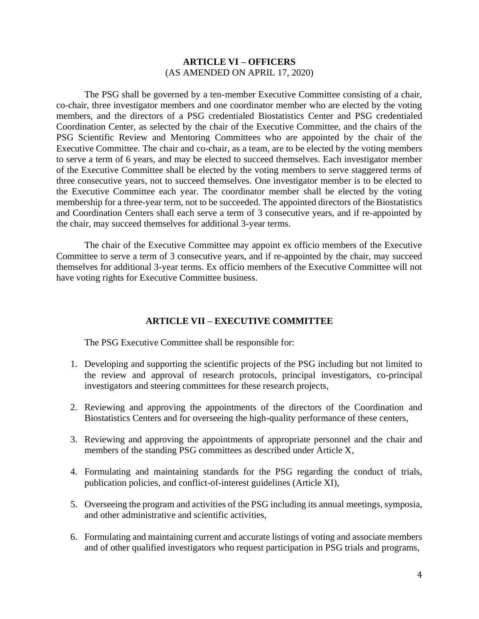# **ARTICLE VI – OFFICERS** (AS AMENDED ON APRIL 17, 2020)

The PSG shall be governed by a ten-member Executive Committee consisting of a chair, co-chair, three investigator members and one coordinator member who are elected by the voting members, and the directors of a PSG credentialed Biostatistics Center and PSG credentialed Coordination Center, as selected by the chair of the Executive Committee, and the chairs of the PSG Scientific Review and Mentoring Committees who are appointed by the chair of the Executive Committee. The chair and co-chair, as a team, are to be elected by the voting members to serve a term of 6 years, and may be elected to succeed themselves. Each investigator member of the Executive Committee shall be elected by the voting members to serve staggered terms of three consecutive years, not to succeed themselves. One investigator member is to be elected to the Executive Committee each year. The coordinator member shall be elected by the voting membership for a three-year term, not to be succeeded. The appointed directors of the Biostatistics and Coordination Centers shall each serve a term of 3 consecutive years, and if re-appointed by the chair, may succeed themselves for additional 3-year terms.

The chair of the Executive Committee may appoint ex officio members of the Executive Committee to serve a term of 3 consecutive years, and if re-appointed by the chair, may succeed themselves for additional 3-year terms. Ex officio members of the Executive Committee will not have voting rights for Executive Committee business.

### **ARTICLE VII – EXECUTIVE COMMITTEE**

The PSG Executive Committee shall be responsible for:

- 1. Developing and supporting the scientific projects of the PSG including but not limited to the review and approval of research protocols, principal investigators, co-principal investigators and steering committees for these research projects,
- 2. Reviewing and approving the appointments of the directors of the Coordination and Biostatistics Centers and for overseeing the high-quality performance of these centers,
- 3. Reviewing and approving the appointments of appropriate personnel and the chair and members of the standing PSG committees as described under Article X,
- 4. Formulating and maintaining standards for the PSG regarding the conduct of trials, publication policies, and conflict-of-interest guidelines (Article XI),
- 5. Overseeing the program and activities of the PSG including its annual meetings, symposia, and other administrative and scientific activities,
- 6. Formulating and maintaining current and accurate listings of voting and associate members and of other qualified investigators who request participation in PSG trials and programs,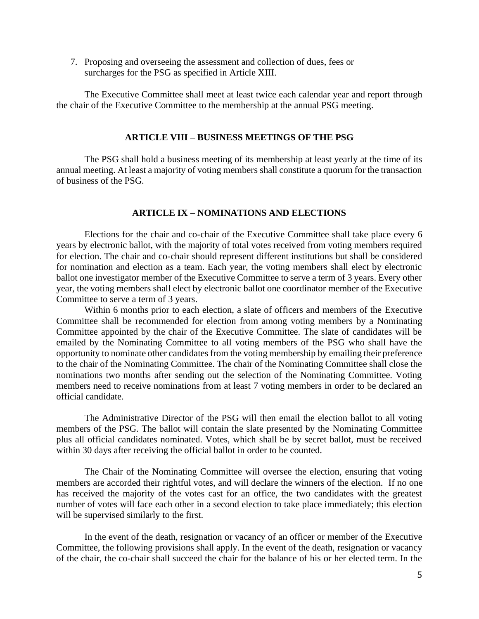7. Proposing and overseeing the assessment and collection of dues, fees or surcharges for the PSG as specified in Article XIII.

The Executive Committee shall meet at least twice each calendar year and report through the chair of the Executive Committee to the membership at the annual PSG meeting.

# **ARTICLE VIII – BUSINESS MEETINGS OF THE PSG**

The PSG shall hold a business meeting of its membership at least yearly at the time of its annual meeting. At least a majority of voting members shall constitute a quorum for the transaction of business of the PSG.

#### **ARTICLE IX – NOMINATIONS AND ELECTIONS**

Elections for the chair and co-chair of the Executive Committee shall take place every 6 years by electronic ballot, with the majority of total votes received from voting members required for election. The chair and co-chair should represent different institutions but shall be considered for nomination and election as a team. Each year, the voting members shall elect by electronic ballot one investigator member of the Executive Committee to serve a term of 3 years. Every other year, the voting members shall elect by electronic ballot one coordinator member of the Executive Committee to serve a term of 3 years.

Within 6 months prior to each election, a slate of officers and members of the Executive Committee shall be recommended for election from among voting members by a Nominating Committee appointed by the chair of the Executive Committee. The slate of candidates will be emailed by the Nominating Committee to all voting members of the PSG who shall have the opportunity to nominate other candidates from the voting membership by emailing their preference to the chair of the Nominating Committee. The chair of the Nominating Committee shall close the nominations two months after sending out the selection of the Nominating Committee. Voting members need to receive nominations from at least 7 voting members in order to be declared an official candidate.

The Administrative Director of the PSG will then email the election ballot to all voting members of the PSG. The ballot will contain the slate presented by the Nominating Committee plus all official candidates nominated. Votes, which shall be by secret ballot, must be received within 30 days after receiving the official ballot in order to be counted.

The Chair of the Nominating Committee will oversee the election, ensuring that voting members are accorded their rightful votes, and will declare the winners of the election. If no one has received the majority of the votes cast for an office, the two candidates with the greatest number of votes will face each other in a second election to take place immediately; this election will be supervised similarly to the first.

In the event of the death, resignation or vacancy of an officer or member of the Executive Committee, the following provisions shall apply. In the event of the death, resignation or vacancy of the chair, the co-chair shall succeed the chair for the balance of his or her elected term. In the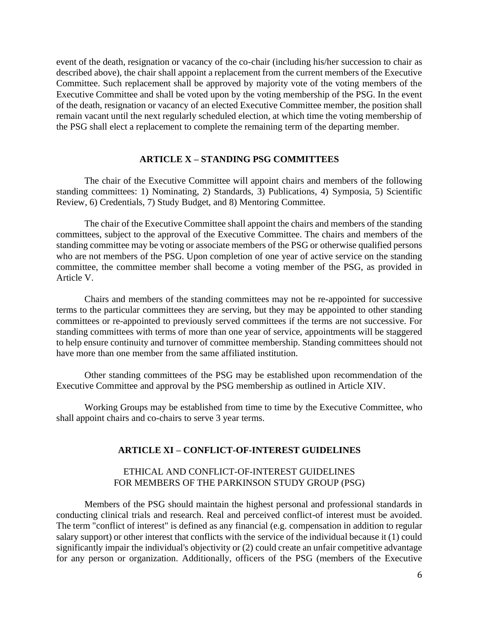event of the death, resignation or vacancy of the co-chair (including his/her succession to chair as described above), the chair shall appoint a replacement from the current members of the Executive Committee. Such replacement shall be approved by majority vote of the voting members of the Executive Committee and shall be voted upon by the voting membership of the PSG. In the event of the death, resignation or vacancy of an elected Executive Committee member, the position shall remain vacant until the next regularly scheduled election, at which time the voting membership of the PSG shall elect a replacement to complete the remaining term of the departing member.

## **ARTICLE X – STANDING PSG COMMITTEES**

The chair of the Executive Committee will appoint chairs and members of the following standing committees: 1) Nominating, 2) Standards, 3) Publications, 4) Symposia, 5) Scientific Review, 6) Credentials, 7) Study Budget, and 8) Mentoring Committee.

The chair of the Executive Committee shall appoint the chairs and members of the standing committees, subject to the approval of the Executive Committee. The chairs and members of the standing committee may be voting or associate members of the PSG or otherwise qualified persons who are not members of the PSG. Upon completion of one year of active service on the standing committee, the committee member shall become a voting member of the PSG, as provided in Article V.

Chairs and members of the standing committees may not be re-appointed for successive terms to the particular committees they are serving, but they may be appointed to other standing committees or re-appointed to previously served committees if the terms are not successive. For standing committees with terms of more than one year of service, appointments will be staggered to help ensure continuity and turnover of committee membership. Standing committees should not have more than one member from the same affiliated institution.

Other standing committees of the PSG may be established upon recommendation of the Executive Committee and approval by the PSG membership as outlined in Article XIV.

Working Groups may be established from time to time by the Executive Committee, who shall appoint chairs and co-chairs to serve 3 year terms.

## **ARTICLE XI – CONFLICT-OF-INTEREST GUIDELINES**

# ETHICAL AND CONFLICT-OF-INTEREST GUIDELINES FOR MEMBERS OF THE PARKINSON STUDY GROUP (PSG)

Members of the PSG should maintain the highest personal and professional standards in conducting clinical trials and research. Real and perceived conflict-of interest must be avoided. The term "conflict of interest" is defined as any financial (e.g. compensation in addition to regular salary support) or other interest that conflicts with the service of the individual because it (1) could significantly impair the individual's objectivity or (2) could create an unfair competitive advantage for any person or organization. Additionally, officers of the PSG (members of the Executive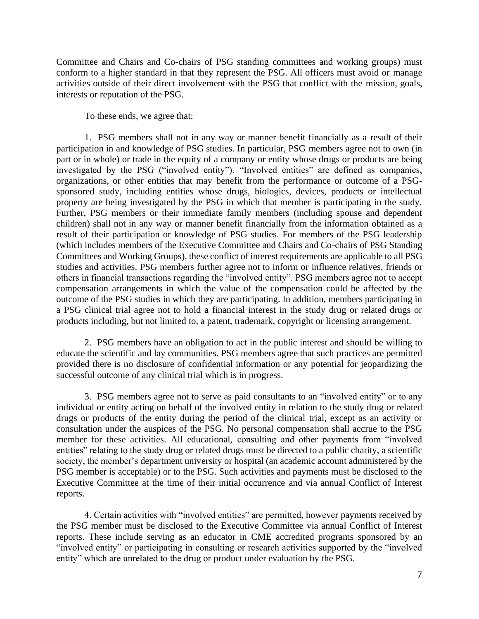Committee and Chairs and Co-chairs of PSG standing committees and working groups) must conform to a higher standard in that they represent the PSG. All officers must avoid or manage activities outside of their direct involvement with the PSG that conflict with the mission, goals, interests or reputation of the PSG.

To these ends, we agree that:

1. PSG members shall not in any way or manner benefit financially as a result of their participation in and knowledge of PSG studies. In particular, PSG members agree not to own (in part or in whole) or trade in the equity of a company or entity whose drugs or products are being investigated by the PSG ("involved entity"). "Involved entities" are defined as companies, organizations, or other entities that may benefit from the performance or outcome of a PSGsponsored study, including entities whose drugs, biologics, devices, products or intellectual property are being investigated by the PSG in which that member is participating in the study. Further, PSG members or their immediate family members (including spouse and dependent children) shall not in any way or manner benefit financially from the information obtained as a result of their participation or knowledge of PSG studies. For members of the PSG leadership (which includes members of the Executive Committee and Chairs and Co-chairs of PSG Standing Committees and Working Groups), these conflict of interest requirements are applicable to all PSG studies and activities. PSG members further agree not to inform or influence relatives, friends or others in financial transactions regarding the "involved entity". PSG members agree not to accept compensation arrangements in which the value of the compensation could be affected by the outcome of the PSG studies in which they are participating. In addition, members participating in a PSG clinical trial agree not to hold a financial interest in the study drug or related drugs or products including, but not limited to, a patent, trademark, copyright or licensing arrangement.

2. PSG members have an obligation to act in the public interest and should be willing to educate the scientific and lay communities. PSG members agree that such practices are permitted provided there is no disclosure of confidential information or any potential for jeopardizing the successful outcome of any clinical trial which is in progress.

3. PSG members agree not to serve as paid consultants to an "involved entity" or to any individual or entity acting on behalf of the involved entity in relation to the study drug or related drugs or products of the entity during the period of the clinical trial, except as an activity or consultation under the auspices of the PSG. No personal compensation shall accrue to the PSG member for these activities. All educational, consulting and other payments from "involved entities" relating to the study drug or related drugs must be directed to a public charity, a scientific society, the member's department university or hospital (an academic account administered by the PSG member is acceptable) or to the PSG. Such activities and payments must be disclosed to the Executive Committee at the time of their initial occurrence and via annual Conflict of Interest reports.

4. Certain activities with "involved entities" are permitted, however payments received by the PSG member must be disclosed to the Executive Committee via annual Conflict of Interest reports. These include serving as an educator in CME accredited programs sponsored by an "involved entity" or participating in consulting or research activities supported by the "involved entity" which are unrelated to the drug or product under evaluation by the PSG.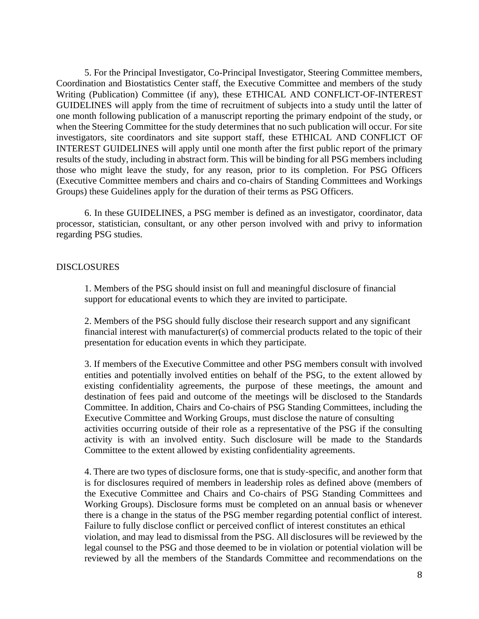5. For the Principal Investigator, Co-Principal Investigator, Steering Committee members, Coordination and Biostatistics Center staff, the Executive Committee and members of the study Writing (Publication) Committee (if any), these ETHICAL AND CONFLICT-OF-INTEREST GUIDELINES will apply from the time of recruitment of subjects into a study until the latter of one month following publication of a manuscript reporting the primary endpoint of the study, or when the Steering Committee for the study determines that no such publication will occur. For site investigators, site coordinators and site support staff, these ETHICAL AND CONFLICT OF INTEREST GUIDELINES will apply until one month after the first public report of the primary results of the study, including in abstract form. This will be binding for all PSG members including those who might leave the study, for any reason, prior to its completion. For PSG Officers (Executive Committee members and chairs and co-chairs of Standing Committees and Workings Groups) these Guidelines apply for the duration of their terms as PSG Officers.

6. In these GUIDELINES, a PSG member is defined as an investigator, coordinator, data processor, statistician, consultant, or any other person involved with and privy to information regarding PSG studies.

## DISCLOSURES

1. Members of the PSG should insist on full and meaningful disclosure of financial support for educational events to which they are invited to participate.

2. Members of the PSG should fully disclose their research support and any significant financial interest with manufacturer(s) of commercial products related to the topic of their presentation for education events in which they participate.

3. If members of the Executive Committee and other PSG members consult with involved entities and potentially involved entities on behalf of the PSG, to the extent allowed by existing confidentiality agreements, the purpose of these meetings, the amount and destination of fees paid and outcome of the meetings will be disclosed to the Standards Committee. In addition, Chairs and Co-chairs of PSG Standing Committees, including the Executive Committee and Working Groups, must disclose the nature of consulting activities occurring outside of their role as a representative of the PSG if the consulting activity is with an involved entity. Such disclosure will be made to the Standards Committee to the extent allowed by existing confidentiality agreements.

4. There are two types of disclosure forms, one that is study-specific, and another form that is for disclosures required of members in leadership roles as defined above (members of the Executive Committee and Chairs and Co-chairs of PSG Standing Committees and Working Groups). Disclosure forms must be completed on an annual basis or whenever there is a change in the status of the PSG member regarding potential conflict of interest. Failure to fully disclose conflict or perceived conflict of interest constitutes an ethical violation, and may lead to dismissal from the PSG. All disclosures will be reviewed by the legal counsel to the PSG and those deemed to be in violation or potential violation will be reviewed by all the members of the Standards Committee and recommendations on the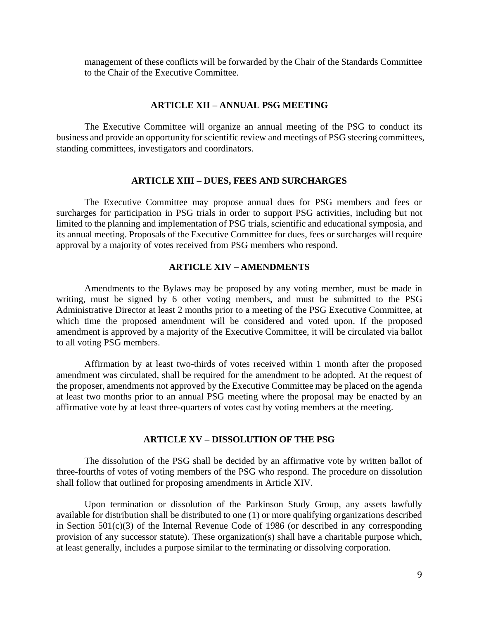management of these conflicts will be forwarded by the Chair of the Standards Committee to the Chair of the Executive Committee.

#### **ARTICLE XII – ANNUAL PSG MEETING**

The Executive Committee will organize an annual meeting of the PSG to conduct its business and provide an opportunity for scientific review and meetings of PSG steering committees, standing committees, investigators and coordinators.

# **ARTICLE XIII – DUES, FEES AND SURCHARGES**

The Executive Committee may propose annual dues for PSG members and fees or surcharges for participation in PSG trials in order to support PSG activities, including but not limited to the planning and implementation of PSG trials, scientific and educational symposia, and its annual meeting. Proposals of the Executive Committee for dues, fees or surcharges will require approval by a majority of votes received from PSG members who respond.

# **ARTICLE XIV – AMENDMENTS**

Amendments to the Bylaws may be proposed by any voting member, must be made in writing, must be signed by 6 other voting members, and must be submitted to the PSG Administrative Director at least 2 months prior to a meeting of the PSG Executive Committee, at which time the proposed amendment will be considered and voted upon. If the proposed amendment is approved by a majority of the Executive Committee, it will be circulated via ballot to all voting PSG members.

Affirmation by at least two-thirds of votes received within 1 month after the proposed amendment was circulated, shall be required for the amendment to be adopted. At the request of the proposer, amendments not approved by the Executive Committee may be placed on the agenda at least two months prior to an annual PSG meeting where the proposal may be enacted by an affirmative vote by at least three-quarters of votes cast by voting members at the meeting.

#### **ARTICLE XV – DISSOLUTION OF THE PSG**

The dissolution of the PSG shall be decided by an affirmative vote by written ballot of three-fourths of votes of voting members of the PSG who respond. The procedure on dissolution shall follow that outlined for proposing amendments in Article XIV.

Upon termination or dissolution of the Parkinson Study Group, any assets lawfully available for distribution shall be distributed to one (1) or more qualifying organizations described in Section 501(c)(3) of the Internal Revenue Code of 1986 (or described in any corresponding provision of any successor statute). These organization(s) shall have a charitable purpose which, at least generally, includes a purpose similar to the terminating or dissolving corporation.